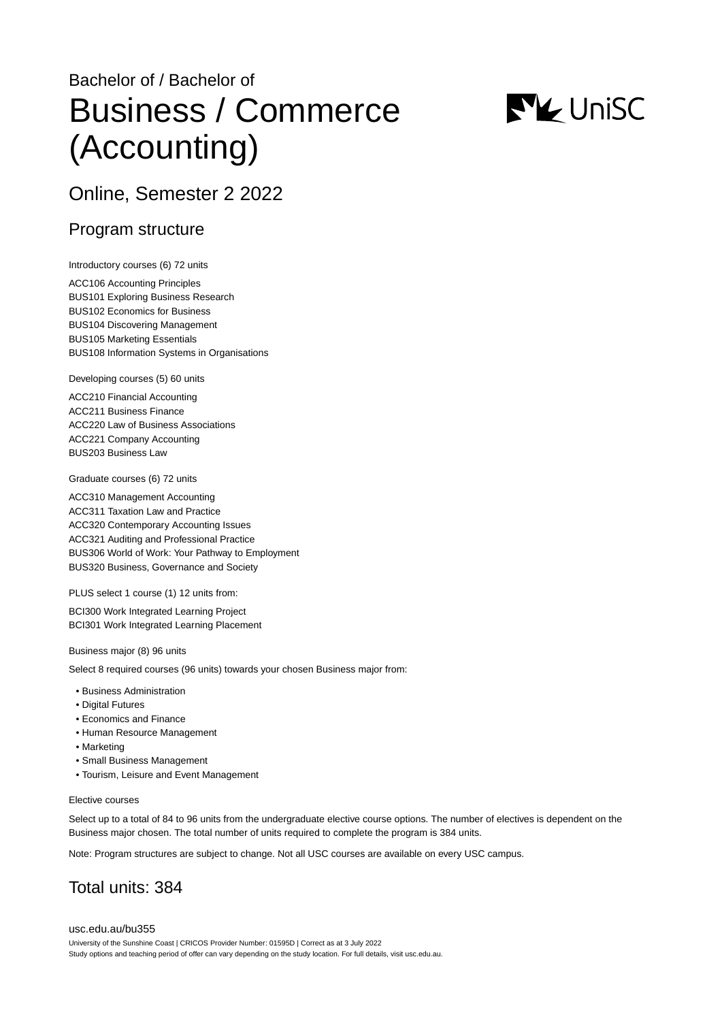# Bachelor of / Bachelor of Business / Commerce (Accounting)



# Online, Semester 2 2022

### Program structure

Introductory courses (6) 72 units

ACC106 Accounting Principles BUS101 Exploring Business Research BUS102 Economics for Business BUS104 Discovering Management BUS105 Marketing Essentials BUS108 Information Systems in Organisations

Developing courses (5) 60 units

ACC210 Financial Accounting ACC211 Business Finance ACC220 Law of Business Associations ACC221 Company Accounting BUS203 Business Law

Graduate courses (6) 72 units

ACC310 Management Accounting ACC311 Taxation Law and Practice ACC320 Contemporary Accounting Issues ACC321 Auditing and Professional Practice BUS306 World of Work: Your Pathway to Employment BUS320 Business, Governance and Society

PLUS select 1 course (1) 12 units from:

BCI300 Work Integrated Learning Project BCI301 Work Integrated Learning Placement

Business major (8) 96 units

Select 8 required courses (96 units) towards your chosen Business major from:

- Business Administration
- Digital Futures
- Economics and Finance
- Human Resource Management
- Marketing
- Small Business Management
- Tourism, Leisure and Event Management

#### Elective courses

Select up to a total of 84 to 96 units from the undergraduate elective course options. The number of electives is dependent on the Business major chosen. The total number of units required to complete the program is 384 units.

Note: Program structures are subject to change. Not all USC courses are available on every USC campus.

# Total units: 384

[usc.edu.au/bu355](https://www.usc.edu.au/bu355) University of the Sunshine Coast | CRICOS Provider Number: 01595D | Correct as at 3 July 2022 Study options and teaching period of offer can vary depending on the study location. For full details, visit usc.edu.au.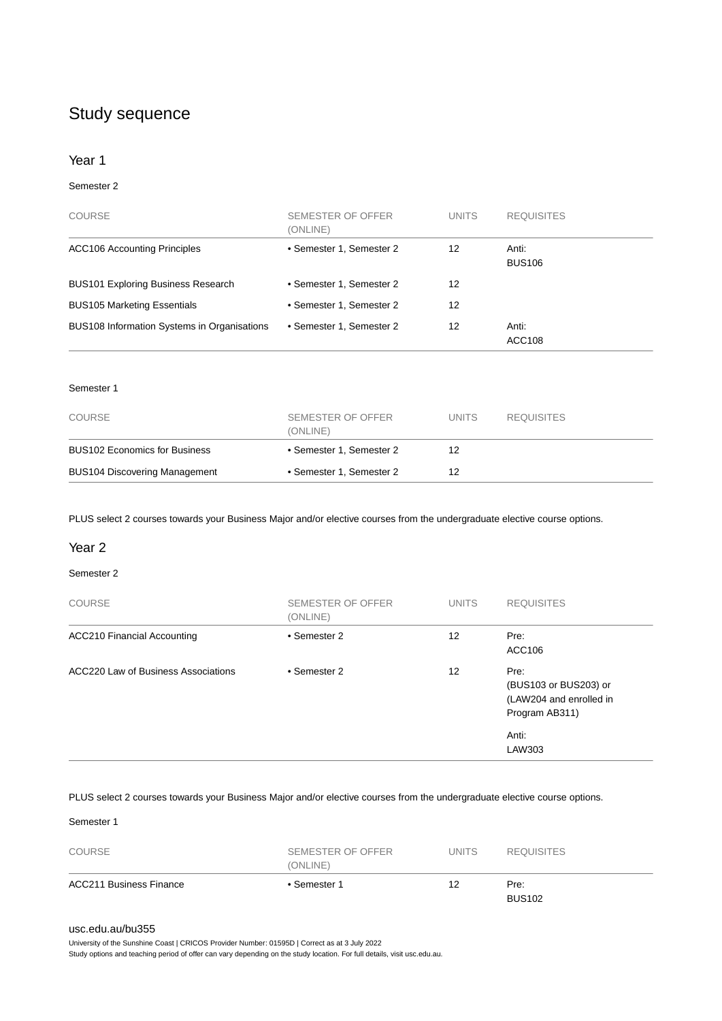## Study sequence

#### Year 1

#### Semester 2

| <b>COURSE</b>                               | SEMESTER OF OFFER<br>(ONLINE) | <b>UNITS</b> | <b>REQUISITES</b>      |
|---------------------------------------------|-------------------------------|--------------|------------------------|
| <b>ACC106 Accounting Principles</b>         | • Semester 1, Semester 2      | 12           | Anti:<br><b>BUS106</b> |
| <b>BUS101 Exploring Business Research</b>   | • Semester 1, Semester 2      | 12           |                        |
| <b>BUS105 Marketing Essentials</b>          | • Semester 1, Semester 2      | 12           |                        |
| BUS108 Information Systems in Organisations | • Semester 1, Semester 2      | 12           | Anti:<br><b>ACC108</b> |

#### Semester 1

| COURSE                               | SEMESTER OF OFFER<br>(ONLINE) | <b>UNITS</b> | <b>REQUISITES</b> |
|--------------------------------------|-------------------------------|--------------|-------------------|
| <b>BUS102 Economics for Business</b> | • Semester 1, Semester 2      | 12           |                   |
| <b>BUS104 Discovering Management</b> | • Semester 1, Semester 2      | 12           |                   |

PLUS select 2 courses towards your Business Major and/or elective courses from the undergraduate elective course options.

#### Year 2

#### Semester 2

| <b>COURSE</b>                       | SEMESTER OF OFFER<br>(ONLINE) | <b>UNITS</b> | <b>REQUISITES</b>                                                          |
|-------------------------------------|-------------------------------|--------------|----------------------------------------------------------------------------|
| <b>ACC210 Financial Accounting</b>  | • Semester 2                  | 12           | Pre:<br>ACC106                                                             |
| ACC220 Law of Business Associations | • Semester 2                  | 12           | Pre:<br>(BUS103 or BUS203) or<br>(LAW204 and enrolled in<br>Program AB311) |
|                                     |                               |              | Anti:<br>LAW303                                                            |

PLUS select 2 courses towards your Business Major and/or elective courses from the undergraduate elective course options.

Semester 1

| <b>COURSE</b>                  | SEMESTER OF OFFER<br>(ONLINE) | <b>UNITS</b> | <b>REQUISITES</b>     |
|--------------------------------|-------------------------------|--------------|-----------------------|
| <b>ACC211 Business Finance</b> | • Semester 1                  | 12           | Pre:<br><b>BUS102</b> |

#### [usc.edu.au/bu355](https://www.usc.edu.au/bu355)

University of the Sunshine Coast | CRICOS Provider Number: 01595D | Correct as at 3 July 2022

Study options and teaching period of offer can vary depending on the study location. For full details, visit usc.edu.au.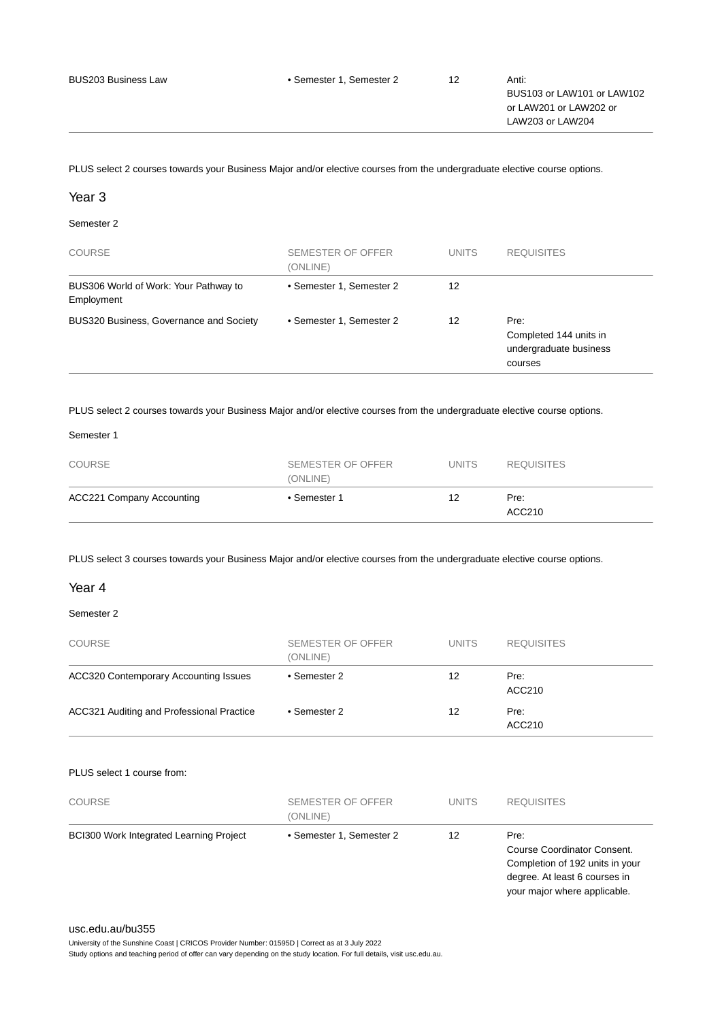PLUS select 2 courses towards your Business Major and/or elective courses from the undergraduate elective course options.

#### Year 3

#### Semester 2

| <b>COURSE</b>                                       | SEMESTER OF OFFER<br>(ONLINE) | <b>UNITS</b> | <b>REQUISITES</b>                                                   |
|-----------------------------------------------------|-------------------------------|--------------|---------------------------------------------------------------------|
| BUS306 World of Work: Your Pathway to<br>Employment | • Semester 1, Semester 2      | 12           |                                                                     |
| BUS320 Business, Governance and Society             | • Semester 1, Semester 2      | 12           | Pre:<br>Completed 144 units in<br>undergraduate business<br>courses |

PLUS select 2 courses towards your Business Major and/or elective courses from the undergraduate elective course options.

#### Semester 1

| <b>COURSE</b>                    | SEMESTER OF OFFER<br>(ONLINE) | <b>UNITS</b> | <b>REQUISITES</b> |
|----------------------------------|-------------------------------|--------------|-------------------|
| <b>ACC221 Company Accounting</b> | • Semester 1                  | 12           | Pre:<br>ACC210    |

PLUS select 3 courses towards your Business Major and/or elective courses from the undergraduate elective course options.

#### Year 4

#### Semester 2

| <b>COURSE</b>                                | <b>SEMESTER OF OFFER</b><br>(ONLINE) | <b>UNITS</b> | <b>REQUISITES</b> |
|----------------------------------------------|--------------------------------------|--------------|-------------------|
| <b>ACC320 Contemporary Accounting Issues</b> | • Semester 2                         | 12           | Pre:<br>ACC210    |
| ACC321 Auditing and Professional Practice    | • Semester 2                         | 12           | Pre:<br>ACC210    |

#### PLUS select 1 course from:

| <b>COURSE</b>                                  | SEMESTER OF OFFER<br>(ONLINE) | <b>UNITS</b> | <b>REQUISITES</b>                                                                                                                       |
|------------------------------------------------|-------------------------------|--------------|-----------------------------------------------------------------------------------------------------------------------------------------|
| <b>BCI300 Work Integrated Learning Project</b> | • Semester 1, Semester 2      | 12           | Pre:<br>Course Coordinator Consent.<br>Completion of 192 units in your<br>degree. At least 6 courses in<br>your major where applicable. |

#### [usc.edu.au/bu355](https://www.usc.edu.au/bu355)

University of the Sunshine Coast | CRICOS Provider Number: 01595D | Correct as at 3 July 2022 Study options and teaching period of offer can vary depending on the study location. For full details, visit usc.edu.au.